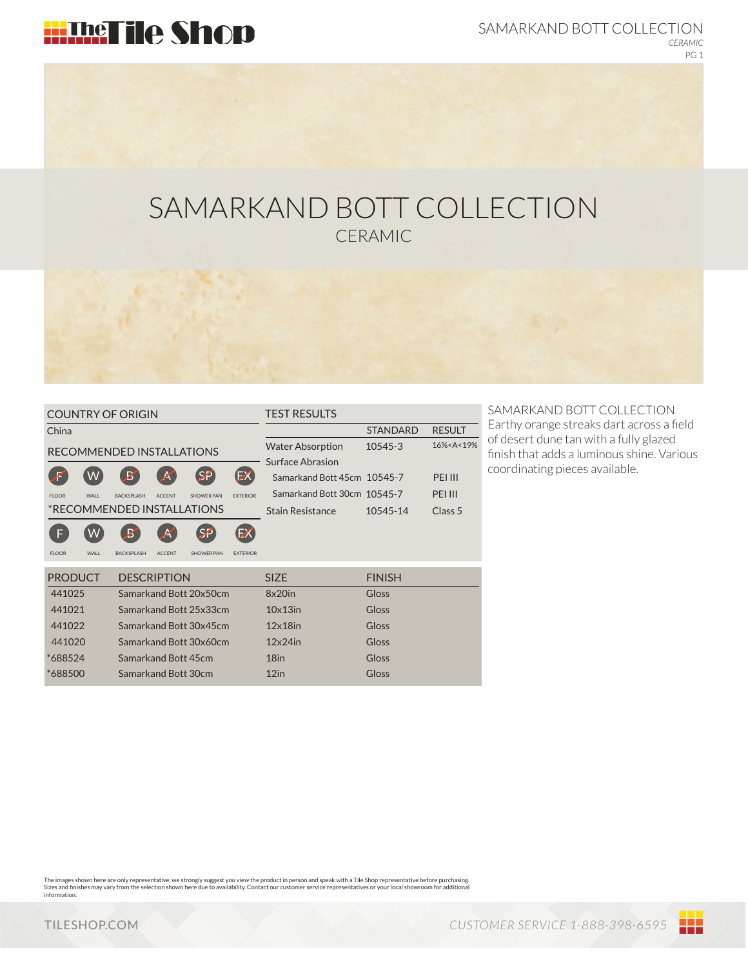

SAMARKAND BOTT COLLECTION *CERAMIC* PG 1

# SAMARKAND BOTT COLLECTION CERAMIC

STANDARD RESULT

16%<A<19%

Class 5

PEI III PEI III

10545-14

Gloss Gloss

| <b>COUNTRY OF ORIGIN</b>             |              |                        |               |                   |                        | <b>TEST RESULTS</b>         |               |  |
|--------------------------------------|--------------|------------------------|---------------|-------------------|------------------------|-----------------------------|---------------|--|
| China                                |              |                        |               |                   |                        |                             | <b>STANDA</b> |  |
| RECOMMENDED INSTALLATIONS            |              |                        |               |                   |                        | <b>Water Absorption</b>     | 10545-3       |  |
|                                      |              |                        |               |                   | Surface Abrasion       |                             |               |  |
|                                      |              | $\boldsymbol{B}$       | K             | SP                | Ð                      | Samarkand Bott 45cm 10545-7 |               |  |
| <b>FLOOR</b>                         | <b>WAI</b> I | <b>BACKSPLASH</b>      | <b>ACCENT</b> | SHOWER PAN        | <b><i>EXTERIOR</i></b> | Samarkand Bott 30cm 10545-7 |               |  |
| *RECOMMENDED INSTALLATIONS           |              |                        |               |                   |                        | Stain Resistance            | $10545 - 1$   |  |
| F                                    | W            | $\boldsymbol{B}'$      | A             | SP                | EX                     |                             |               |  |
| <b>FLOOR</b>                         | <b>WAII</b>  | <b>BACKSPLASH</b>      | <b>ACCENT</b> | <b>SHOWER PAN</b> | <b>EXTERIOR</b>        |                             |               |  |
| <b>PRODUCT</b><br><b>DESCRIPTION</b> |              |                        |               |                   |                        | <b>SIZE</b>                 | <b>FINISH</b> |  |
| 441025                               |              | Samarkand Bott 20x50cm |               |                   |                        | $8x20$ in                   | Gloss         |  |
| 441021                               |              | Samarkand Bott 25x33cm |               |                   |                        | $10\times 13$ in            | Gloss         |  |
| 441022                               |              | Samarkand Bott 30x45cm |               |                   |                        | $12\times18$ in             | Gloss         |  |
| 441020                               |              | Samarkand Bott 30x60cm |               |                   |                        | $12x24$ in                  | Gloss         |  |

Samarkand Bott 45cm

Samarkand Bott 30cm

SAMARKAND BOTT COLLECTION Earthy orange streaks dart across a field of desert dune tan with a fully glazed finish that adds a luminous shine. Various coordinating pieces available.

The images shown here are only representative, we strongly suggest you view the product in person and speak with a Tile Shop representative before purchasing.<br>Sizes and finishes may vary from the selection shown here due t information.

18in 12in

\*688524 \*688500